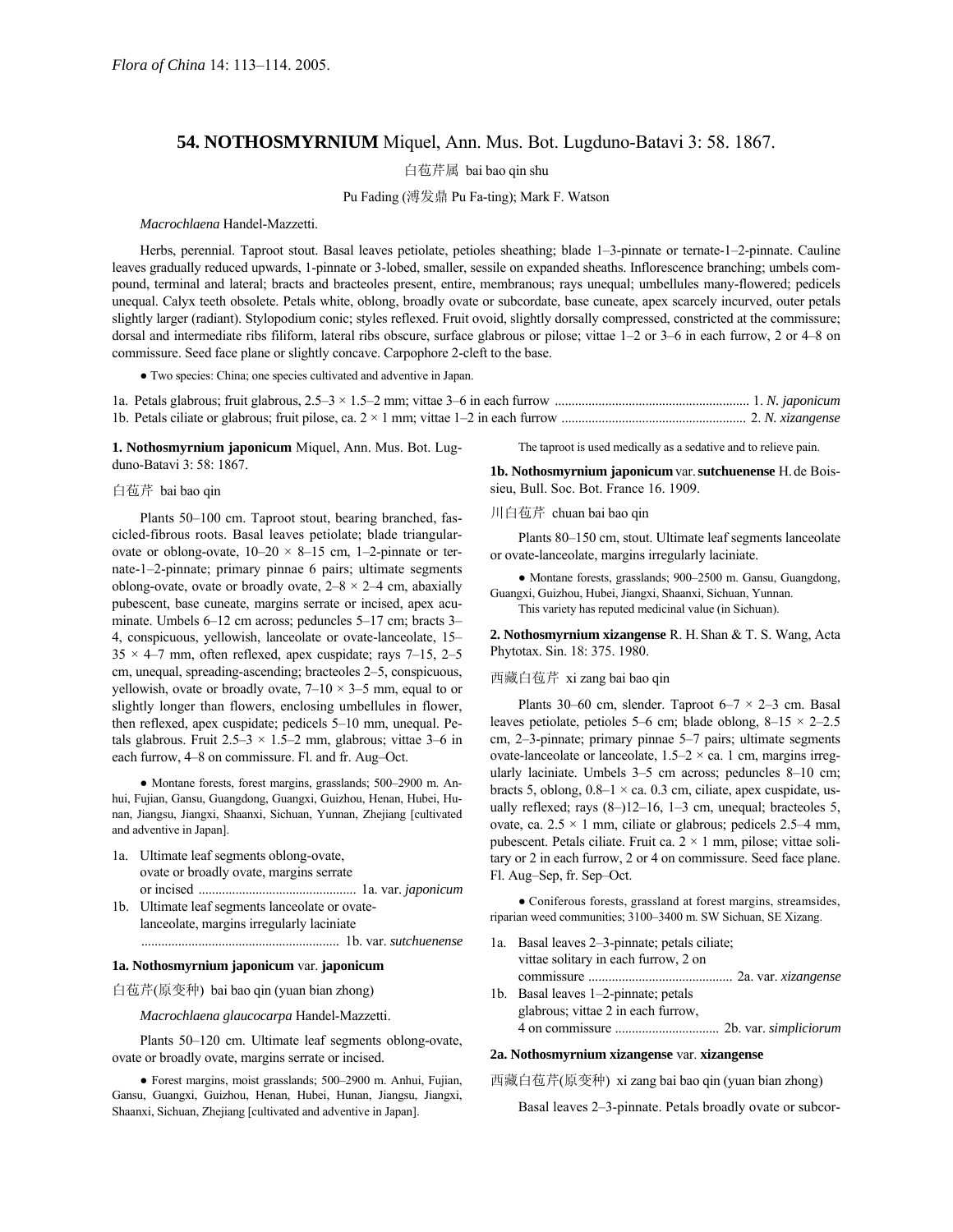# **54. NOTHOSMYRNIUM** Miquel, Ann. Mus. Bot. Lugduno-Batavi 3: 58. 1867.

白苞芹属 bai bao qin shu

## Pu Fading (溥发鼎 Pu Fa-ting); Mark F. Watson

#### *Macrochlaena* Handel-Mazzetti.

Herbs, perennial. Taproot stout. Basal leaves petiolate, petioles sheathing; blade 1–3-pinnate or ternate-1–2-pinnate. Cauline leaves gradually reduced upwards, 1-pinnate or 3-lobed, smaller, sessile on expanded sheaths. Inflorescence branching; umbels compound, terminal and lateral; bracts and bracteoles present, entire, membranous; rays unequal; umbellules many-flowered; pedicels unequal. Calyx teeth obsolete. Petals white, oblong, broadly ovate or subcordate, base cuneate, apex scarcely incurved, outer petals slightly larger (radiant). Stylopodium conic; styles reflexed. Fruit ovoid, slightly dorsally compressed, constricted at the commissure; dorsal and intermediate ribs filiform, lateral ribs obscure, surface glabrous or pilose; vittae 1-2 or 3-6 in each furrow, 2 or 4-8 on commissure. Seed face plane or slightly concave. Carpophore 2-cleft to the base.

● Two species: China; one species cultivated and adventive in Japan.

**1. Nothosmyrnium japonicum** Miquel, Ann. Mus. Bot. Lugduno-Batavi 3: 58: 1867.

### 白苞芹 bai bao qin

Plants 50–100 cm. Taproot stout, bearing branched, fascicled-fibrous roots. Basal leaves petiolate; blade triangularovate or oblong-ovate,  $10-20 \times 8-15$  cm, 1-2-pinnate or ternate-1-2-pinnate; primary pinnae 6 pairs; ultimate segments oblong-ovate, ovate or broadly ovate,  $2-8 \times 2-4$  cm, abaxially pubescent, base cuneate, margins serrate or incised, apex acuminate. Umbels  $6-12$  cm across; peduncles  $5-17$  cm; bracts  $3-$ 4, conspicuous, yellowish, lanceolate or ovate-lanceolate, 15–  $35 \times 4$ -7 mm, often reflexed, apex cuspidate; rays 7–15, 2–5 cm, unequal, spreading-ascending; bracteoles 2–5, conspicuous, yellowish, ovate or broadly ovate,  $7-10 \times 3-5$  mm, equal to or slightly longer than flowers, enclosing umbellules in flower, then reflexed, apex cuspidate; pedicels  $5-10$  mm, unequal. Petals glabrous. Fruit  $2.5-3 \times 1.5-2$  mm, glabrous; vittae 3-6 in each furrow, 4–8 on commissure. Fl. and fr. Aug–Oct.

• Montane forests, forest margins, grasslands; 500-2900 m. Anhui, Fujian, Gansu, Guangdong, Guangxi, Guizhou, Henan, Hubei, Hunan, Jiangsu, Jiangxi, Shaanxi, Sichuan, Yunnan, Zhejiang [cultivated and adventive in Japan].

- 1a. Ultimate leaf segments oblong-ovate, ovate or broadly ovate, margins serrate or incised ............................................... 1a. var. *japonicum*
- 1b. Ultimate leaf segments lanceolate or ovatelanceolate, margins irregularly laciniate

........................................................... 1b. var. *sutchuenense*

# **1a. Nothosmyrnium japonicum** var. **japonicum**

白苞芹(原变种) bai bao qin (yuan bian zhong)

*Macrochlaena glaucocarpa* Handel-Mazzetti.

Plants 50-120 cm. Ultimate leaf segments oblong-ovate, ovate or broadly ovate, margins serrate or incised.

● Forest margins, moist grasslands; 500-2900 m. Anhui, Fujian, Gansu, Guangxi, Guizhou, Henan, Hubei, Hunan, Jiangsu, Jiangxi, Shaanxi, Sichuan, Zhejiang [cultivated and adventive in Japan].

The taproot is used medically as a sedative and to relieve pain.

**1b. Nothosmyrnium japonicum**var.**sutchuenense** H.de Boissieu, Bull. Soc. Bot. France 16. 1909.

## 川白苞芹 chuan bai bao qin

Plants 80–150 cm, stout. Ultimate leaf segments lanceolate or ovate-lanceolate, margins irregularly laciniate.

• Montane forests, grasslands; 900-2500 m. Gansu, Guangdong, Guangxi, Guizhou, Hubei, Jiangxi, Shaanxi, Sichuan, Yunnan. This variety has reputed medicinal value (in Sichuan).

**2. Nothosmyrnium xizangense** R. H.Shan & T. S. Wang, Acta Phytotax. Sin. 18: 375. 1980.

### 西藏白苞芹 xi zang bai bao qin

Plants 30–60 cm, slender. Taproot 6–7  $\times$  2–3 cm. Basal leaves petiolate, petioles 5–6 cm; blade oblong,  $8-15 \times 2-2.5$ cm,  $2-3$ -pinnate; primary pinnae  $5-7$  pairs; ultimate segments ovate-lanceolate or lanceolate,  $1.5-2 \times$  ca. 1 cm, margins irregularly laciniate. Umbels  $3-5$  cm across; peduncles  $8-10$  cm; bracts 5, oblong,  $0.8-1 \times$  ca. 0.3 cm, ciliate, apex cuspidate, usually reflexed; rays  $(8–)12–16$ , 1–3 cm, unequal; bracteoles 5, ovate, ca.  $2.5 \times 1$  mm, ciliate or glabrous; pedicels 2.5–4 mm, pubescent. Petals ciliate. Fruit ca.  $2 \times 1$  mm, pilose; vittae solitary or 2 in each furrow, 2 or 4 on commissure. Seed face plane. Fl. Aug–Sep, fr. Sep–Oct.

● Coniferous forests, grassland at forest margins, streamsides, riparian weed communities; 3100–3400 m. SW Sichuan, SE Xizang.

- 1a. Basal leaves 2-3-pinnate; petals ciliate; vittae solitary in each furrow, 2 on commissure ........................................... 2a. var. *xizangense*
- 1b. Basal leaves  $1-2$ -pinnate; petals glabrous; vittae 2 in each furrow, 4 on commissure ............................... 2b. var. *simpliciorum*

#### **2a. Nothosmyrnium xizangense** var. **xizangense**

西藏白苞芹(原变种) xi zang bai bao qin (yuan bian zhong)

Basal leaves 2–3-pinnate. Petals broadly ovate or subcor-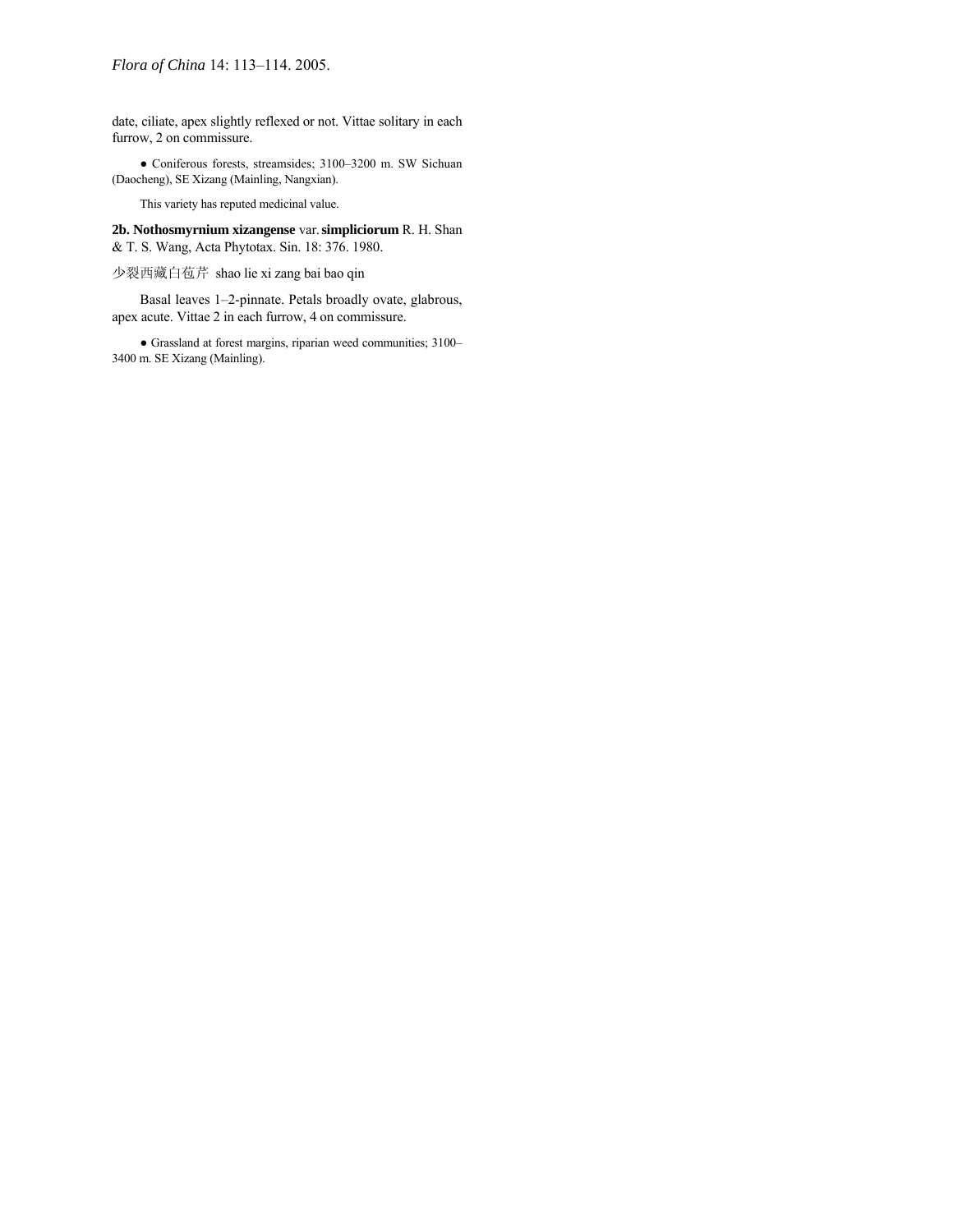date, ciliate, apex slightly reflexed or not. Vittae solitary in each furrow, 2 on commissure.

● Coniferous forests, streamsides; 3100-3200 m. SW Sichuan (Daocheng), SE Xizang (Mainling, Nangxian).

This variety has reputed medicinal value.

**2b. Nothosmyrnium xizangense** var.**simpliciorum** R. H. Shan & T. S. Wang, Acta Phytotax. Sin. 18: 376. 1980.

少裂西藏白苞芹 shao lie xi zang bai bao qin

Basal leaves 1-2-pinnate. Petals broadly ovate, glabrous, apex acute. Vittae 2 in each furrow, 4 on commissure.

 $\bullet$  Grassland at forest margins, riparian weed communities; 3100– 3400 m. SE Xizang (Mainling).